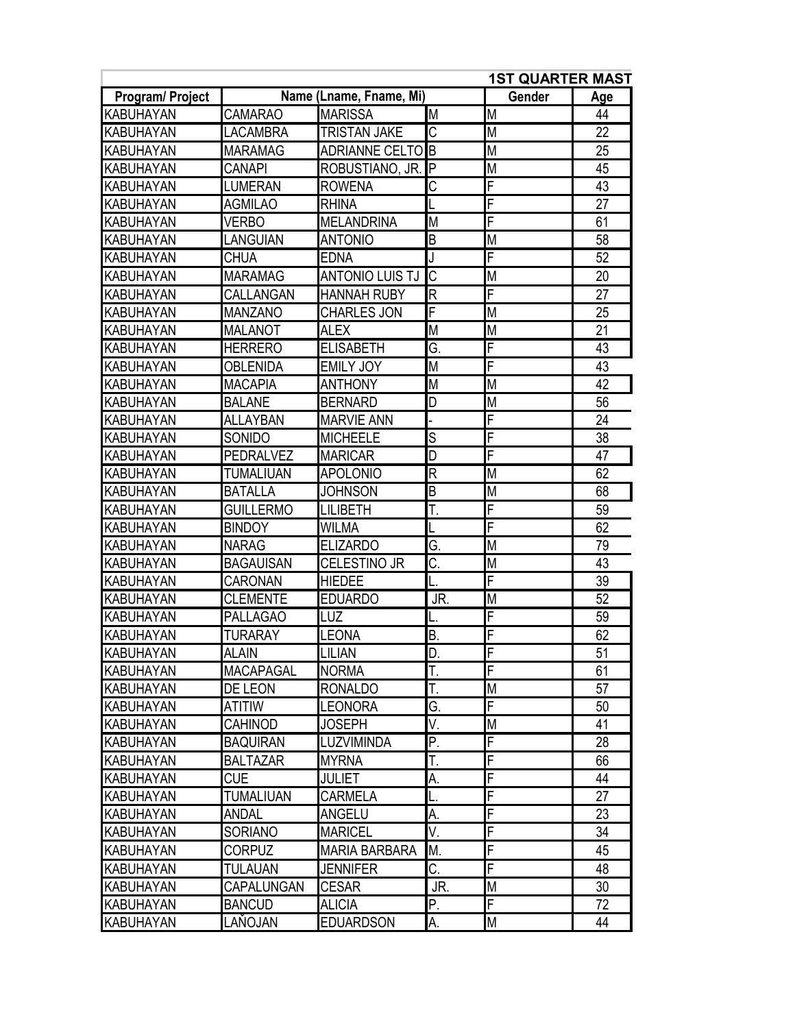| <b>1ST QUARTER MAST</b> |                  |                         |                         |        |     |
|-------------------------|------------------|-------------------------|-------------------------|--------|-----|
| <b>Program/Project</b>  |                  | Name (Lname, Fname, Mi) |                         | Gender | Age |
| <b>KABUHAYAN</b>        | <b>CAMARAO</b>   | <b>MARISSA</b>          | M                       | M      | 44  |
| <b>KABUHAYAN</b>        | LACAMBRA         | <b>TRISTAN JAKE</b>     | С                       | M      | 22  |
| <b>KABUHAYAN</b>        | <b>MARAMAG</b>   | <b>ADRIANNE CELTO B</b> |                         | M      | 25  |
| <b>KABUHAYAN</b>        | <b>CANAPI</b>    | ROBUSTIANO, JR. P       |                         | M      | 45  |
| <b>KABUHAYAN</b>        | LUMERAN          | <b>ROWENA</b>           | С                       | F      | 43  |
| <b>KABUHAYAN</b>        | <b>AGMILAO</b>   | <b>RHINA</b>            |                         | F      | 27  |
| <b>KABUHAYAN</b>        | <b>VERBO</b>     | <b>MELANDRINA</b>       | M                       | F      | 61  |
| <b>KABUHAYAN</b>        | LANGUIAN         | <b>ANTONIO</b>          | B                       | M      | 58  |
| <b>KABUHAYAN</b>        | <b>CHUA</b>      | <b>EDNA</b>             |                         | F      | 52  |
| <b>KABUHAYAN</b>        | <b>MARAMAG</b>   | <b>ANTONIO LUIS TJ</b>  | ІС                      | M      | 20  |
| <b>KABUHAYAN</b>        | CALLANGAN        | <b>HANNAH RUBY</b>      | $\mathsf R$             | F      | 27  |
| <b>KABUHAYAN</b>        | <b>MANZANO</b>   | <b>CHARLES JON</b>      | F                       | M      | 25  |
| <b>KABUHAYAN</b>        | <b>MALANOT</b>   | <b>ALEX</b>             | M                       | M      | 21  |
| <b>KABUHAYAN</b>        | <b>HERRERO</b>   | <b>ELISABETH</b>        | G.                      | F      | 43  |
| <b>KABUHAYAN</b>        | <b>OBLENIDA</b>  | <b>EMILY JOY</b>        | M                       | F      | 43  |
| <b>KABUHAYAN</b>        | <b>MACAPIA</b>   | <b>ANTHONY</b>          | M                       | M      | 42  |
| <b>KABUHAYAN</b>        | <b>BALANE</b>    | <b>BERNARD</b>          | D                       | M      | 56  |
| <b>KABUHAYAN</b>        | <b>ALLAYBAN</b>  | <b>MARVIE ANN</b>       |                         | F      | 24  |
| <b>KABUHAYAN</b>        | SONIDO           | <b>MICHEELE</b>         | S                       | F      | 38  |
| <b>KABUHAYAN</b>        | <b>PEDRALVEZ</b> | <b>MARICAR</b>          | D                       | F      | 47  |
| <b>KABUHAYAN</b>        | <b>TUMALIUAN</b> | <b>APOLONIO</b>         | $\overline{\mathsf{R}}$ | M      | 62  |
| <b>KABUHAYAN</b>        | <b>BATALLA</b>   | <b>JOHNSON</b>          | B                       | M      | 68  |
| <b>KABUHAYAN</b>        | <b>GUILLERMO</b> | <b>LILIBETH</b>         | T.                      | F      | 59  |
| <b>KABUHAYAN</b>        | <b>BINDOY</b>    | <b>WILMA</b>            |                         | F      | 62  |
| <b>KABUHAYAN</b>        | <b>NARAG</b>     | <b>ELIZARDO</b>         | G.                      | M      | 79  |
| <b>KABUHAYAN</b>        | <b>BAGAUISAN</b> | <b>CELESTINO JR</b>     | C.                      | M      | 43  |
| <b>KABUHAYAN</b>        | <b>CARONAN</b>   | <b>HIEDEE</b>           |                         | F      | 39  |
| <b>KABUHAYAN</b>        | <b>CLEMENTE</b>  | <b>EDUARDO</b>          | JR.                     | M      | 52  |
| <b>KABUHAYAN</b>        | <b>PALLAGAO</b>  | LUZ                     |                         | F      | 59  |
| <b>KABUHAYAN</b>        | <b>TURARAY</b>   | LEONA                   | B.                      | F      | 62  |
| KABUHAYAN               | <b>ALAIN</b>     | <b>LILIAN</b>           | D.                      | F      | 51  |
| <b>KABUHAYAN</b>        | <b>MACAPAGAL</b> | <b>NORMA</b>            | T.                      | F      | 61  |
| <b>KABUHAYAN</b>        | <b>DE LEON</b>   | <b>RONALDO</b>          | T.                      | M      | 57  |
| <b>KABUHAYAN</b>        | <b>ATITIW</b>    | LEONORA                 | G.                      | F      | 50  |
| <b>KABUHAYAN</b>        | <b>CAHINOD</b>   | <b>JOSEPH</b>           | V.                      | M      | 41  |
| <b>KABUHAYAN</b>        | <b>BAQUIRAN</b>  | LUZVIMINDA              | P.                      | F      | 28  |
| <b>KABUHAYAN</b>        | <b>BALTAZAR</b>  | <b>MYRNA</b>            | T.                      | F      | 66  |
| <b>KABUHAYAN</b>        | <b>CUE</b>       | <b>JULIET</b>           | A.                      | F      | 44  |
| <b>KABUHAYAN</b>        | <b>TUMALIUAN</b> | <b>CARMELA</b>          |                         | F      | 27  |
| <b>KABUHAYAN</b>        | <b>ANDAL</b>     | ANGELU                  | A.                      | F      | 23  |
| <b>KABUHAYAN</b>        | <b>SORIANO</b>   | <b>MARICEL</b>          | V.                      | F      | 34  |
| <b>KABUHAYAN</b>        | <b>CORPUZ</b>    | <b>MARIA BARBARA</b>    | M.                      | F      | 45  |
| <b>KABUHAYAN</b>        | <b>TULAUAN</b>   | <b>JENNIFER</b>         | C.                      | F      | 48  |
| <b>KABUHAYAN</b>        | CAPALUNGAN       | <b>CESAR</b>            | JR.                     | M      | 30  |
|                         | <b>BANCUD</b>    | <b>ALICIA</b>           | P.                      | F      |     |
| <b>KABUHAYAN</b>        |                  |                         |                         | M      | 72  |
| <b>KABUHAYAN</b>        | LAŇOJAN          | <b>EDUARDSON</b>        | A.                      |        | 44  |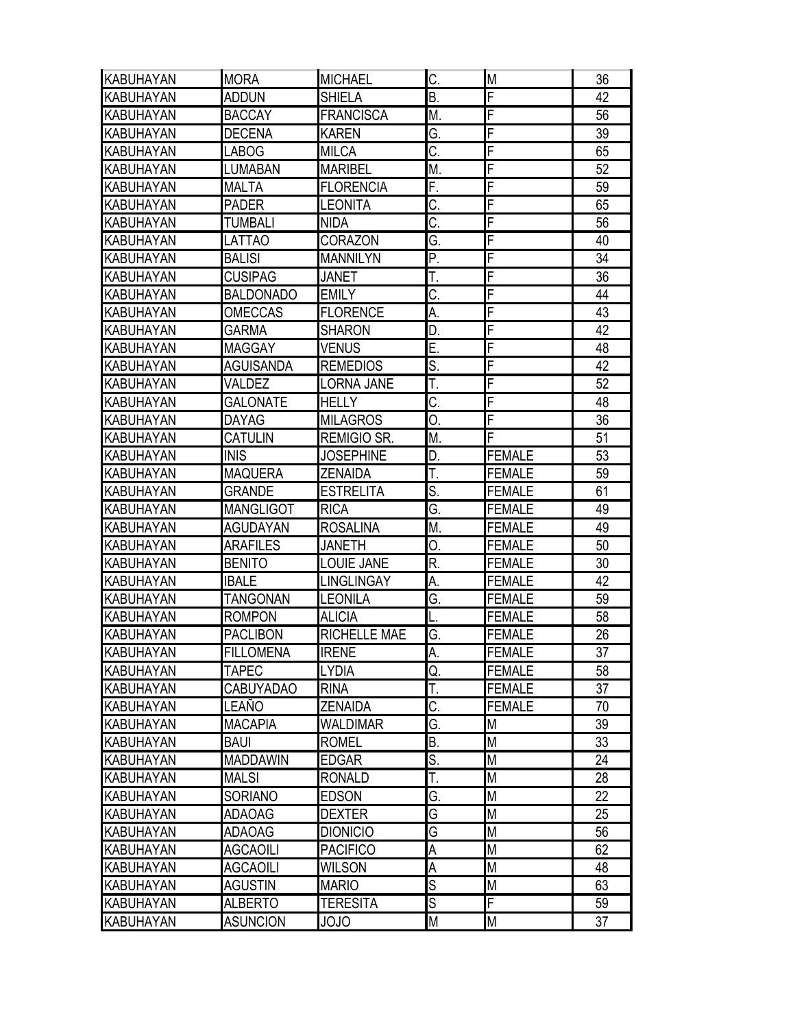| <b>KABUHAYAN</b> | <b>MORA</b>      | <b>MICHAEL</b>      | C.                      | M             | 36 |
|------------------|------------------|---------------------|-------------------------|---------------|----|
| <b>KABUHAYAN</b> | <b>ADDUN</b>     | <b>SHIELA</b>       | $\overline{\mathsf{B}}$ | F             | 42 |
| <b>KABUHAYAN</b> | <b>BACCAY</b>    | <b>FRANCISCA</b>    | M.                      | F             | 56 |
| <b>KABUHAYAN</b> | <b>DECENA</b>    | <b>KAREN</b>        | G.                      | F             | 39 |
| <b>KABUHAYAN</b> | LABOG            | <b>MILCA</b>        | C.                      | F             | 65 |
| <b>KABUHAYAN</b> | <b>LUMABAN</b>   | <b>MARIBEL</b>      | M.                      | F             | 52 |
| <b>KABUHAYAN</b> | <b>MALTA</b>     | <b>FLORENCIA</b>    | F.                      | F             | 59 |
| <b>KABUHAYAN</b> | <b>PADER</b>     | <b>LEONITA</b>      | C.                      | F             | 65 |
| <b>KABUHAYAN</b> | <b>TUMBALI</b>   | <b>NIDA</b>         | $\overline{\mathsf{C}}$ | F             | 56 |
| <b>KABUHAYAN</b> | LATTAO           | CORAZON             | G.                      | F             | 40 |
| <b>KABUHAYAN</b> | <b>BALISI</b>    | <b>MANNILYN</b>     | P.                      | F             | 34 |
| <b>KABUHAYAN</b> | <b>CUSIPAG</b>   | <b>JANET</b>        | Ŧ.                      | F             | 36 |
| <b>KABUHAYAN</b> | <b>BALDONADO</b> | <b>EMILY</b>        | C.                      | F             | 44 |
| <b>KABUHAYAN</b> | <b>OMECCAS</b>   | FLORENCE            | А.                      | F             | 43 |
| <b>KABUHAYAN</b> | <b>GARMA</b>     | <b>SHARON</b>       | D.                      | F             | 42 |
| <b>KABUHAYAN</b> | <b>MAGGAY</b>    | <b>VENUS</b>        | E,                      | F             | 48 |
| <b>KABUHAYAN</b> | <b>AGUISANDA</b> | <b>REMEDIOS</b>     | S.                      | F             | 42 |
| <b>KABUHAYAN</b> | VALDEZ           | <b>LORNA JANE</b>   | T.                      | F             | 52 |
| <b>KABUHAYAN</b> | <b>GALONATE</b>  | <b>HELLY</b>        | C.                      | F             | 48 |
| <b>KABUHAYAN</b> | <b>DAYAG</b>     | <b>MILAGROS</b>     | 0.                      | F             | 36 |
| <b>KABUHAYAN</b> | <b>CATULIN</b>   | REMIGIO SR.         | M.                      | F             | 51 |
| <b>KABUHAYAN</b> | <b>INIS</b>      | <b>JOSEPHINE</b>    | D.                      | <b>FEMALE</b> | 53 |
| <b>KABUHAYAN</b> | <b>MAQUERA</b>   | <b>ZENAIDA</b>      | T.                      | <b>FEMALE</b> | 59 |
| <b>KABUHAYAN</b> | <b>GRANDE</b>    | <b>ESTRELITA</b>    | S.                      | <b>FEMALE</b> | 61 |
| <b>KABUHAYAN</b> | <b>MANGLIGOT</b> | <b>RICA</b>         | Ġ.                      | <b>FEMALE</b> | 49 |
| <b>KABUHAYAN</b> | <b>AGUDAYAN</b>  | <b>ROSALINA</b>     | M.                      | <b>FEMALE</b> | 49 |
| <b>KABUHAYAN</b> | <b>ARAFILES</b>  | <b>JANETH</b>       | 0.                      | <b>FEMALE</b> | 50 |
| <b>KABUHAYAN</b> | <b>BENITO</b>    | <b>LOUIE JANE</b>   | R.                      | <b>FEMALE</b> | 30 |
| <b>KABUHAYAN</b> | <b>IBALE</b>     | <b>LINGLINGAY</b>   | А.                      | <b>FEMALE</b> | 42 |
| <b>KABUHAYAN</b> | TANGONAN         | <b>LEONILA</b>      | Ġ.                      | <b>FEMALE</b> | 59 |
| <b>KABUHAYAN</b> | <b>ROMPON</b>    | <b>ALICIA</b>       |                         | <b>FEMALE</b> | 58 |
| <b>KABUHAYAN</b> | <b>PACLIBON</b>  | <b>RICHELLE MAE</b> | G.                      | <b>FEMALE</b> | 26 |
| <b>KABUHAYAN</b> | <b>FILLOMENA</b> | <b>IRENE</b>        | A.                      | <b>FEMALE</b> | 37 |
| <b>KABUHAYAN</b> | <b>TAPEC</b>     | <b>LYDIA</b>        | Q.                      | <b>FEMALE</b> | 58 |
| <b>KABUHAYAN</b> | <b>CABUYADAO</b> | <b>RINA</b>         | T.                      | <b>FEMALE</b> | 37 |
| <b>KABUHAYAN</b> | LEAÑO            | <b>ZENAIDA</b>      | Ć.                      | <b>FEMALE</b> | 70 |
| <b>KABUHAYAN</b> | <b>MACAPIA</b>   | <b>WALDIMAR</b>     | G.                      | M             | 39 |
| <b>KABUHAYAN</b> | <b>BAUI</b>      | <b>ROMEL</b>        | Β.                      | M             | 33 |
| <b>KABUHAYAN</b> | <b>MADDAWIN</b>  | <b>EDGAR</b>        | S.                      | M             | 24 |
| <b>KABUHAYAN</b> | <b>MALSI</b>     | <b>RONALD</b>       | T.                      | M             | 28 |
| <b>KABUHAYAN</b> | <b>SORIANO</b>   | <b>EDSON</b>        | G.                      | M             | 22 |
| <b>KABUHAYAN</b> | ADAOAG           | <b>DEXTER</b>       | G                       | M             | 25 |
| <b>KABUHAYAN</b> | ADAOAG           | <b>DIONICIO</b>     | G                       | М             | 56 |
| <b>KABUHAYAN</b> | <b>AGCAOILI</b>  | <b>PACIFICO</b>     | A                       | M             | 62 |
| <b>KABUHAYAN</b> | <b>AGCAOILI</b>  | <b>WILSON</b>       | A                       | M             | 48 |
| <b>KABUHAYAN</b> | <b>AGUSTIN</b>   | <b>MARIO</b>        | S                       | M             | 63 |
| <b>KABUHAYAN</b> | <b>ALBERTO</b>   | <b>TERESITA</b>     | S                       | F             | 59 |
| <b>KABUHAYAN</b> | <b>ASUNCION</b>  | JOJO                | M                       | M             | 37 |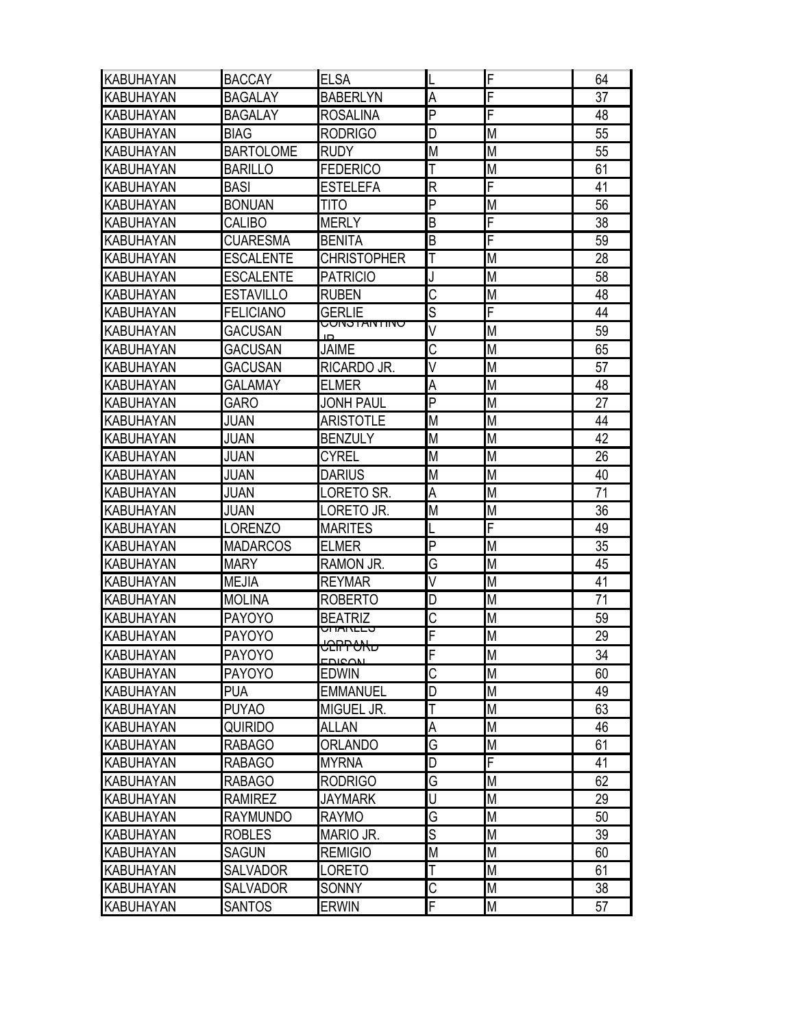| <b>KABUHAYAN</b> | <b>BACCAY</b>    | <b>ELSA</b>                 |                       | F | 64 |
|------------------|------------------|-----------------------------|-----------------------|---|----|
| <b>KABUHAYAN</b> | <b>BAGALAY</b>   | <b>BABERLYN</b>             | A                     | F | 37 |
| <b>KABUHAYAN</b> | <b>BAGALAY</b>   | <b>ROSALINA</b>             | $\overline{P}$        | F | 48 |
| <b>KABUHAYAN</b> | <b>BIAG</b>      | <b>RODRIGO</b>              | D                     | M | 55 |
| <b>KABUHAYAN</b> | <b>BARTOLOME</b> | <b>RUDY</b>                 | M                     | M | 55 |
| <b>KABUHAYAN</b> | <b>BARILLO</b>   | <b>FEDERICO</b>             | T                     | M | 61 |
| <b>KABUHAYAN</b> | <b>BASI</b>      | <b>ESTELEFA</b>             | R                     | F | 41 |
| <b>KABUHAYAN</b> | <b>BONUAN</b>    | <b>TITO</b>                 | $\overline{P}$        | M | 56 |
| <b>KABUHAYAN</b> | <b>CALIBO</b>    | <b>MERLY</b>                | B                     | F | 38 |
| <b>KABUHAYAN</b> | <b>CUARESMA</b>  | <b>BENITA</b>               | B                     | F | 59 |
| <b>KABUHAYAN</b> | <b>ESCALENTE</b> | <b>CHRISTOPHER</b>          | T                     | M | 28 |
| <b>KABUHAYAN</b> | <b>ESCALENTE</b> | <b>PATRICIO</b>             | J                     | M | 58 |
| <b>KABUHAYAN</b> | <b>ESTAVILLO</b> | <b>RUBEN</b>                | $\overline{\text{c}}$ | M | 48 |
| <b>KABUHAYAN</b> | <b>FELICIANO</b> | <b>GERLIE</b>               | S                     | F | 44 |
| <b>KABUHAYAN</b> | <b>GACUSAN</b>   | <b>UUNJTAIVITINU</b>        | V                     | M | 59 |
| <b>KABUHAYAN</b> | <b>GACUSAN</b>   | JAIME                       | $\overline{\text{c}}$ | M | 65 |
| KABUHAYAN        | <b>GACUSAN</b>   | RICARDO JR.                 | V                     | M | 57 |
| <b>KABUHAYAN</b> | <b>GALAMAY</b>   | <b>ELMER</b>                | A                     | M | 48 |
| <b>KABUHAYAN</b> | <b>GARO</b>      | <b>JONH PAUL</b>            | $\overline{P}$        | M | 27 |
| <b>KABUHAYAN</b> | JUAN             | <b>ARISTOTLE</b>            | M                     | M | 44 |
| <b>KABUHAYAN</b> | <b>JUAN</b>      | <b>BENZULY</b>              | M                     | M | 42 |
| <b>KABUHAYAN</b> | JUAN             | <b>CYREL</b>                | M                     | M | 26 |
| <b>KABUHAYAN</b> | JUAN             | <b>DARIUS</b>               | M                     | M | 40 |
| <b>KABUHAYAN</b> | <b>JUAN</b>      | LORETO SR.                  | A                     | M | 71 |
| <b>KABUHAYAN</b> | <b>JUAN</b>      | LORETO JR.                  | M                     | M | 36 |
| <b>KABUHAYAN</b> | <b>LORENZO</b>   | <b>MARITES</b>              |                       | F | 49 |
| <b>KABUHAYAN</b> | <b>MADARCOS</b>  | <b>ELMER</b>                | P                     | M | 35 |
| <b>KABUHAYAN</b> | <b>MARY</b>      | RAMON JR.                   | G                     | M | 45 |
| <b>KABUHAYAN</b> | <b>MEJIA</b>     | <b>REYMAR</b>               | V                     | M | 41 |
| <b>KABUHAYAN</b> | <b>MOLINA</b>    | <b>ROBERTO</b>              | D                     | M | 71 |
| <b>KABUHAYAN</b> | <b>PAYOYO</b>    | <b>BEATRIZ</b>              | $\overline{\text{c}}$ | M | 59 |
| <b>KABUHAYAN</b> | <b>PAYOYO</b>    | ਗ਼™੮੦<br>ᡃ <del>ᢈ᠌᠌᠓ᢉ</del> | F                     | M | 29 |
| <b>KABUHAYAN</b> | <b>PAYOYO</b>    | <b>EDICON</b>               | ⊩                     | M | 34 |
| <b>KABUHAYAN</b> | <b>PAYOYO</b>    | <b>EDWIN</b>                | $\overline{\text{C}}$ | M | 60 |
| <b>KABUHAYAN</b> | <b>PUA</b>       | <b>EMMANUEL</b>             | D                     | M | 49 |
| <b>KABUHAYAN</b> | <b>PUYAO</b>     | MIGUEL JR.                  | Т                     | M | 63 |
| <b>KABUHAYAN</b> | <b>QUIRIDO</b>   | <b>ALLAN</b>                | A                     | M | 46 |
| KABUHAYAN        | <b>RABAGO</b>    | <b>ORLANDO</b>              | G                     | M | 61 |
| <b>KABUHAYAN</b> | <b>RABAGO</b>    | <b>MYRNA</b>                | D                     | F | 41 |
| <b>KABUHAYAN</b> | <b>RABAGO</b>    | <b>RODRIGO</b>              | G                     | M | 62 |
| <b>KABUHAYAN</b> | <b>RAMIREZ</b>   | <b>JAYMARK</b>              | U                     | M | 29 |
| <b>KABUHAYAN</b> | <b>RAYMUNDO</b>  | <b>RAYMO</b>                | G                     | M | 50 |
| <b>KABUHAYAN</b> | <b>ROBLES</b>    | MARIO JR.                   | S                     | M | 39 |
| <b>KABUHAYAN</b> | <b>SAGUN</b>     | <b>REMIGIO</b>              | M                     | M | 60 |
| <b>KABUHAYAN</b> | <b>SALVADOR</b>  | <b>LORETO</b>               | T                     | M | 61 |
| <b>KABUHAYAN</b> | <b>SALVADOR</b>  | SONNY                       | C                     | M | 38 |
| <b>KABUHAYAN</b> | <b>SANTOS</b>    | <b>ERWIN</b>                | F                     | M | 57 |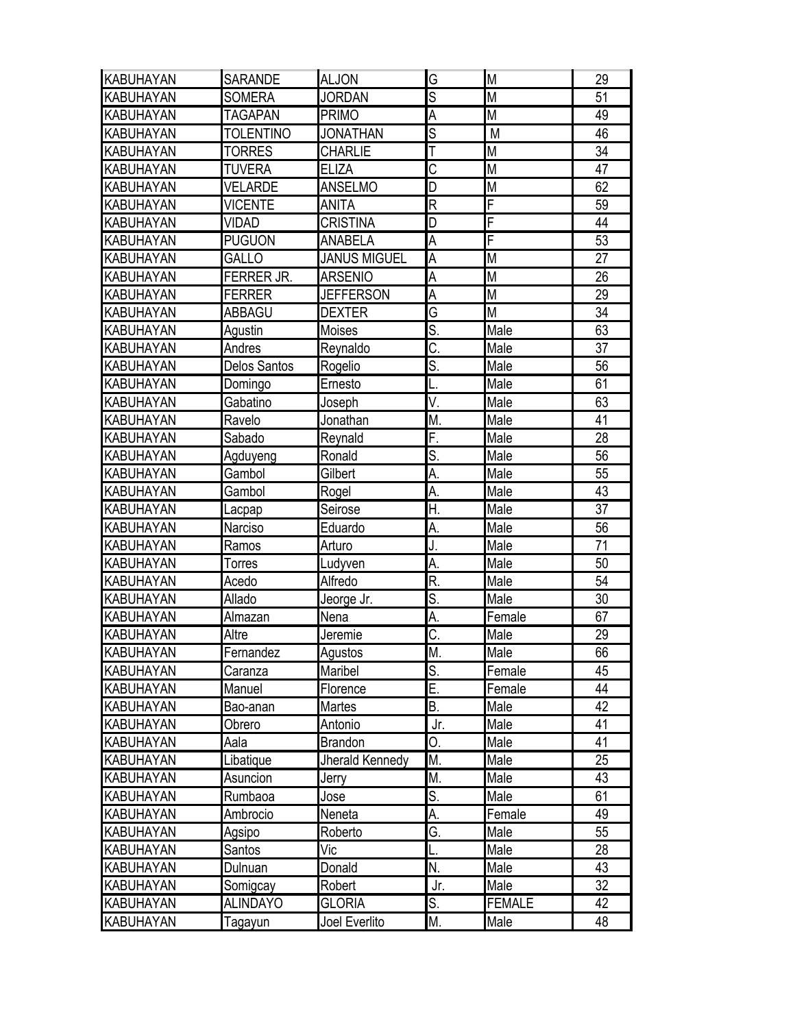| <b>KABUHAYAN</b> | <b>SARANDE</b>      | <b>ALJON</b>        | G                        | M                       | 29 |
|------------------|---------------------|---------------------|--------------------------|-------------------------|----|
| <b>KABUHAYAN</b> | <b>SOMERA</b>       | <b>JORDAN</b>       | $\overline{\mathsf{s}}$  | M                       | 51 |
| <b>KABUHAYAN</b> | <b>TAGAPAN</b>      | PRIMO               | $\overline{A}$           | M                       | 49 |
| <b>KABUHAYAN</b> | <b>TOLENTINO</b>    | <b>JONATHAN</b>     | $\overline{\mathcal{S}}$ | M                       | 46 |
| <b>KABUHAYAN</b> | <b>TORRES</b>       | <b>CHARLIE</b>      | T                        | M                       | 34 |
| <b>KABUHAYAN</b> | <b>TUVERA</b>       | <b>ELIZA</b>        | C                        | $\overline{\mathsf{M}}$ | 47 |
| <b>KABUHAYAN</b> | VELARDE             | <b>ANSELMO</b>      | D                        | M                       | 62 |
| <b>KABUHAYAN</b> | <b>VICENTE</b>      | <b>ANITA</b>        | $\overline{\mathsf{R}}$  | F                       | 59 |
| <b>KABUHAYAN</b> | <b>VIDAD</b>        | <b>CRISTINA</b>     | D                        | F                       | 44 |
| <b>KABUHAYAN</b> | <b>PUGUON</b>       | <b>ANABELA</b>      | A                        | F                       | 53 |
| <b>KABUHAYAN</b> | <b>GALLO</b>        | <b>JANUS MIGUEL</b> | A                        | M                       | 27 |
| <b>KABUHAYAN</b> | FERRER JR.          | <b>ARSENIO</b>      | A                        | M                       | 26 |
| <b>KABUHAYAN</b> | <b>FERRER</b>       | <b>JEFFERSON</b>    | $\overline{A}$           | M                       | 29 |
| <b>KABUHAYAN</b> | ABBAGU              | <b>DEXTER</b>       | G                        | M                       | 34 |
| <b>KABUHAYAN</b> | Agustin             | <b>Moises</b>       | S.                       | Male                    | 63 |
| <b>KABUHAYAN</b> | Andres              | Reynaldo            | Ĉ.                       | Male                    | 37 |
| <b>KABUHAYAN</b> | <b>Delos Santos</b> | Rogelio             | S.                       | Male                    | 56 |
| <b>KABUHAYAN</b> | Domingo             | Ernesto             |                          | Male                    | 61 |
| <b>KABUHAYAN</b> | Gabatino            | Joseph              | V.                       | Male                    | 63 |
| <b>KABUHAYAN</b> | Ravelo              | Jonathan            | M.                       | Male                    | 41 |
| <b>KABUHAYAN</b> | Sabado              | Reynald             | F.                       | Male                    | 28 |
| <b>KABUHAYAN</b> | Agduyeng            | Ronald              | S.                       | Male                    | 56 |
| <b>KABUHAYAN</b> | Gambol              | Gilbert             | Ā.                       | Male                    | 55 |
| <b>KABUHAYAN</b> | Gambol              | Rogel               | Ā.                       | Male                    | 43 |
| <b>KABUHAYAN</b> | Lacpap              | Seirose             | H.                       | Male                    | 37 |
| <b>KABUHAYAN</b> | Narciso             | Eduardo             | А.                       | Male                    | 56 |
| <b>KABUHAYAN</b> | Ramos               | Arturo              | J.                       | Male                    | 71 |
| <b>KABUHAYAN</b> | <b>Torres</b>       | Ludyven             | Ā.                       | Male                    | 50 |
| <b>KABUHAYAN</b> | Acedo               | Alfredo             | R.                       | Male                    | 54 |
| <b>KABUHAYAN</b> | Allado              | Jeorge Jr.          | S.                       | Male                    | 30 |
| <b>KABUHAYAN</b> | Almazan             | Nena                | Ā.                       | Female                  | 67 |
| <b>KABUHAYAN</b> | Altre               | Jeremie             | C.                       | Male                    | 29 |
| <b>KABUHAYAN</b> | Fernandez           | Agustos             | M.                       | Male                    | 66 |
| <b>KABUHAYAN</b> | Caranza             | Maribel             | S.                       | Female                  | 45 |
| <b>KABUHAYAN</b> | Manuel              | Florence            | Ē.                       | Female                  | 44 |
| <b>KABUHAYAN</b> | Bao-anan            | <b>Martes</b>       | В.                       | Male                    | 42 |
| <b>KABUHAYAN</b> | Obrero              | Antonio             | Jr.                      | Male                    | 41 |
| <b>KABUHAYAN</b> | Aala                | <b>Brandon</b>      | 0.                       | Male                    | 41 |
| <b>KABUHAYAN</b> | Libatique           | Jherald Kennedy     | M.                       | Male                    | 25 |
| <b>KABUHAYAN</b> | Asuncion            | Jerry               | M.                       | Male                    | 43 |
| <b>KABUHAYAN</b> | Rumbaoa             | Jose                | S.                       | Male                    | 61 |
| <b>KABUHAYAN</b> | Ambrocio            | Neneta              | А.                       | Female                  | 49 |
| <b>KABUHAYAN</b> | Agsipo              | Roberto             | G.                       | Male                    | 55 |
| <b>KABUHAYAN</b> | Santos              | Vic                 | L.                       | Male                    | 28 |
| <b>KABUHAYAN</b> | Dulnuan             | Donald              | N.                       | Male                    | 43 |
| <b>KABUHAYAN</b> | Somigcay            | Robert              | Jr.                      | Male                    | 32 |
| <b>KABUHAYAN</b> | <b>ALINDAYO</b>     | GLORIA              | S.                       | <b>FEMALE</b>           | 42 |
| <b>KABUHAYAN</b> | Tagayun             | Joel Everlito       | M.                       | Male                    | 48 |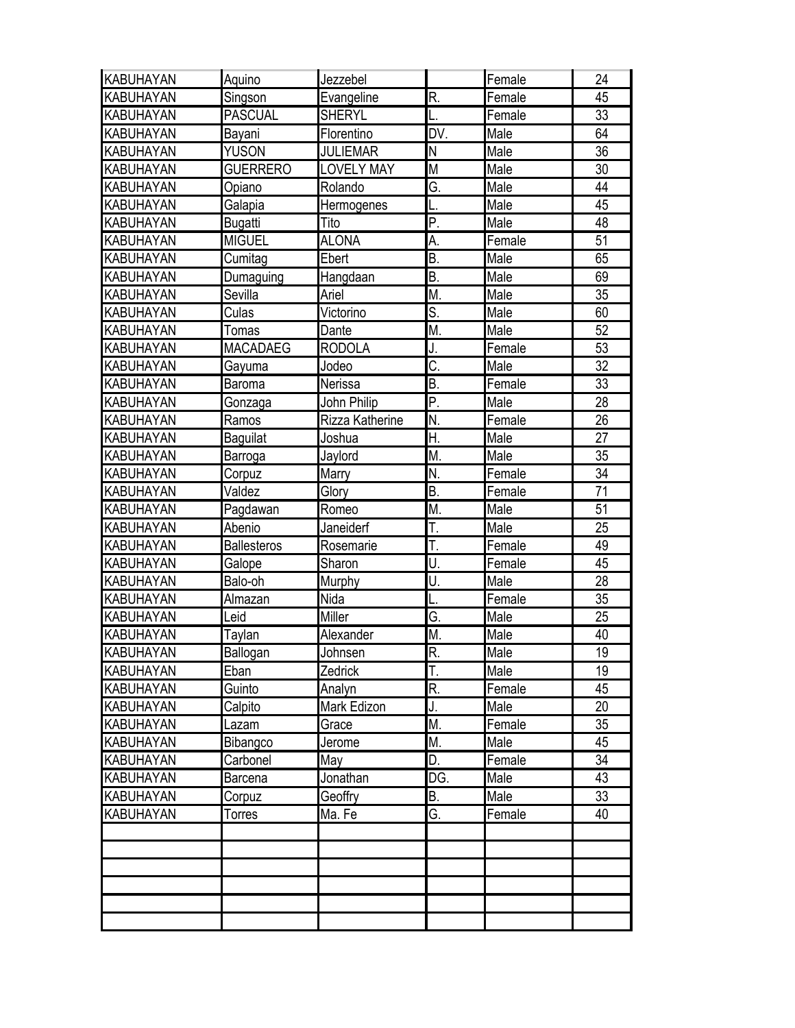| <b>KABUHAYAN</b> | Aquino             | Jezzebel               |                           | Female | 24 |
|------------------|--------------------|------------------------|---------------------------|--------|----|
| <b>KABUHAYAN</b> | Singson            | Evangeline             | R.                        | Female | 45 |
| <b>KABUHAYAN</b> | <b>PASCUAL</b>     | <b>SHERYL</b>          | L.                        | Female | 33 |
| <b>KABUHAYAN</b> | Bayani             | Florentino             | DV.                       | Male   | 64 |
| <b>KABUHAYAN</b> | <b>YUSON</b>       | <b>JULIEMAR</b>        | $\overline{\mathsf{N}}$   | Male   | 36 |
| <b>KABUHAYAN</b> | <b>GUERRERO</b>    | <b>LOVELY MAY</b>      | M                         | Male   | 30 |
| <b>KABUHAYAN</b> | Opiano             | Rolando                | G.                        | Male   | 44 |
| <b>KABUHAYAN</b> | Galapia            | Hermogenes             |                           | Male   | 45 |
| <b>KABUHAYAN</b> | <b>Bugatti</b>     | Tito                   | $\overline{P}$ .          | Male   | 48 |
| <b>KABUHAYAN</b> | <b>MIGUEL</b>      | <b>ALONA</b>           | А.                        | Female | 51 |
| <b>KABUHAYAN</b> | Cumitag            | Ebert                  | $\overline{B}$ .          | Male   | 65 |
| <b>KABUHAYAN</b> | Dumaguing          | Hangdaan               | $\overline{\mathsf{B}}$ . | Male   | 69 |
| <b>KABUHAYAN</b> | Sevilla            | Ariel                  | M.                        | Male   | 35 |
| <b>KABUHAYAN</b> | Culas              | Victorino              | S.                        | Male   | 60 |
| <b>KABUHAYAN</b> | Tomas              | Dante                  | $\overline{\mathsf{M}}$ . | Male   | 52 |
| <b>KABUHAYAN</b> | <b>MACADAEG</b>    | <b>RODOLA</b>          | J.                        | Female | 53 |
| <b>KABUHAYAN</b> | Gayuma             | Jodeo                  | C.                        | Male   | 32 |
| <b>KABUHAYAN</b> | Baroma             | Nerissa                | $\overline{B}$ .          | Female | 33 |
| <b>KABUHAYAN</b> | Gonzaga            | John Philip            | P.                        | Male   | 28 |
| <b>KABUHAYAN</b> | Ramos              | <b>Rizza Katherine</b> | N.                        | Female | 26 |
| <b>KABUHAYAN</b> | Baguilat           | Joshua                 | H.                        | Male   | 27 |
| <b>KABUHAYAN</b> | Barroga            | Jaylord                | $\overline{\mathsf{M}}$   | Male   | 35 |
| <b>KABUHAYAN</b> | Corpuz             | Marry                  | N.                        | Female | 34 |
| <b>KABUHAYAN</b> | Valdez             | Glory                  | B.                        | Female | 71 |
| <b>KABUHAYAN</b> | Pagdawan           | Romeo                  | M.                        | Male   | 51 |
| <b>KABUHAYAN</b> | Abenio             | Janeiderf              | T.                        | Male   | 25 |
| <b>KABUHAYAN</b> | <b>Ballesteros</b> | Rosemarie              | T.                        | Female | 49 |
| <b>KABUHAYAN</b> | Galope             | Sharon                 | U.                        | Female | 45 |
| <b>KABUHAYAN</b> | Balo-oh            | Murphy                 | Ū.                        | Male   | 28 |
| <b>KABUHAYAN</b> | Almazan            | Nida                   | L.                        | Female | 35 |
| <b>KABUHAYAN</b> | Leid               | <b>Miller</b>          | Ġ.                        | Male   | 25 |
| <b>KABUHAYAN</b> | Taylan             | Alexander              | $\overline{\mathsf{M}}$ . | Male   | 40 |
| <b>KABUHAYAN</b> | Ballogan           | Johnsen                | R.                        | Male   | 19 |
| <b>KABUHAYAN</b> | Eban               | Zedrick                | Ŧ.                        | Male   | 19 |
| <b>KABUHAYAN</b> | Guinto             | Analyn                 | R.                        | Female | 45 |
| <b>KABUHAYAN</b> | Calpito            | Mark Edizon            | J.                        | Male   | 20 |
| <b>KABUHAYAN</b> | Lazam              | Grace                  | M.                        | Female | 35 |
| <b>KABUHAYAN</b> | Bibangco           | Jerome                 | M.                        | Male   | 45 |
| <b>KABUHAYAN</b> | Carbonel           | May                    | D.                        | Female | 34 |
| <b>KABUHAYAN</b> | Barcena            | Jonathan               | DG.                       | Male   | 43 |
| <b>KABUHAYAN</b> | Corpuz             | Geoffry                | В.                        | Male   | 33 |
| <b>KABUHAYAN</b> | Torres             | Ma. Fe                 | G.                        | Female | 40 |
|                  |                    |                        |                           |        |    |
|                  |                    |                        |                           |        |    |
|                  |                    |                        |                           |        |    |
|                  |                    |                        |                           |        |    |
|                  |                    |                        |                           |        |    |
|                  |                    |                        |                           |        |    |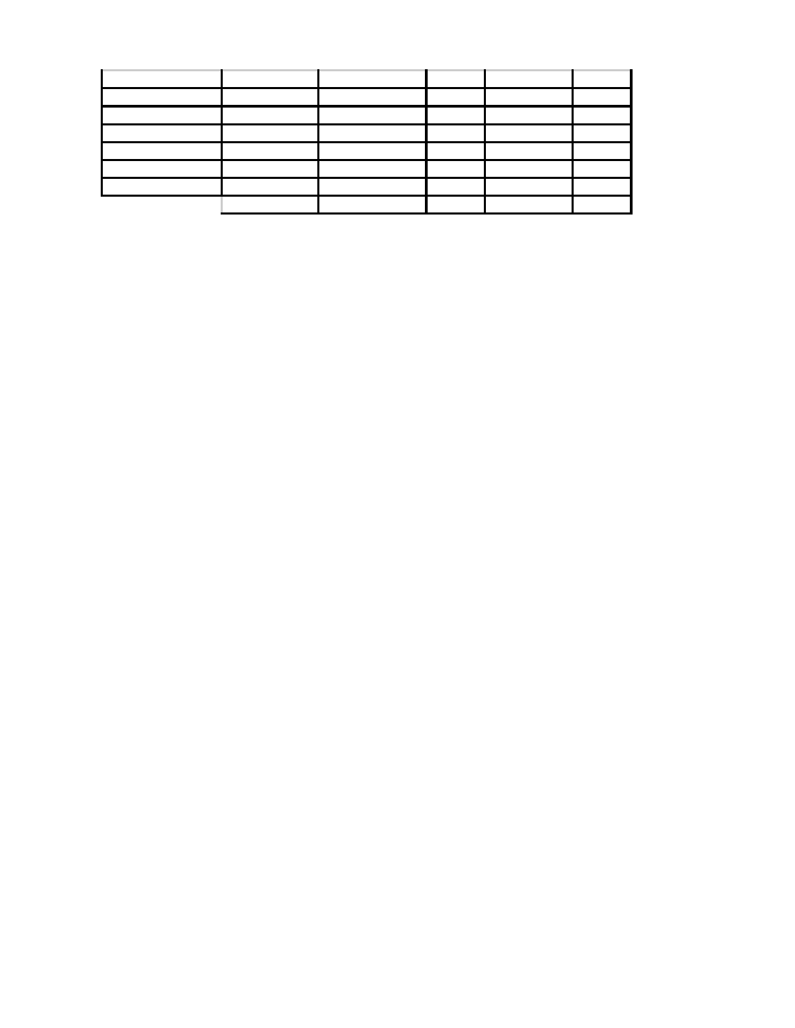| H. | the contract of the contract of                 |                                                                                                                        |  |  |
|----|-------------------------------------------------|------------------------------------------------------------------------------------------------------------------------|--|--|
|    |                                                 |                                                                                                                        |  |  |
|    | the contract of the contract of the contract of | <u> London Maria (London Maria (London Maria (London Maria (London Maria (London Maria (London Maria (London Maria</u> |  |  |
|    |                                                 |                                                                                                                        |  |  |
|    |                                                 |                                                                                                                        |  |  |
|    |                                                 |                                                                                                                        |  |  |
|    |                                                 |                                                                                                                        |  |  |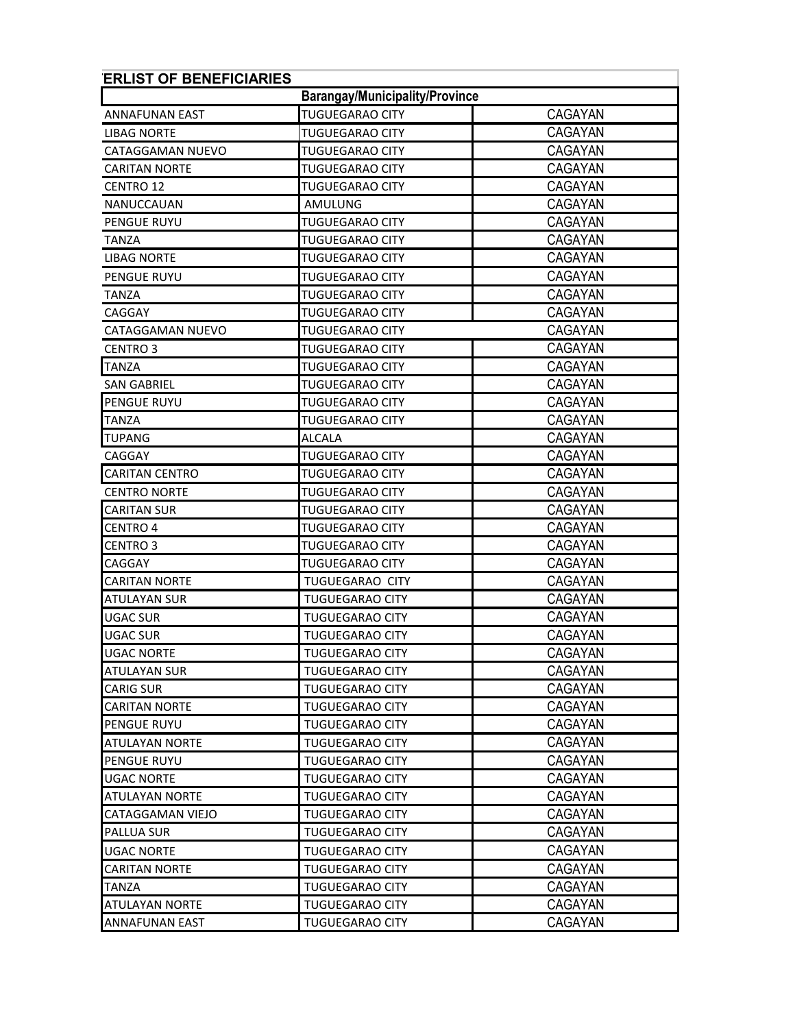| <b>ERLIST OF BENEFICIARIES</b> |                                       |                |
|--------------------------------|---------------------------------------|----------------|
|                                | <b>Barangay/Municipality/Province</b> |                |
| <b>ANNAFUNAN EAST</b>          | <b>TUGUEGARAO CITY</b>                | CAGAYAN        |
| <b>LIBAG NORTE</b>             | <b>TUGUEGARAO CITY</b>                | CAGAYAN        |
| CATAGGAMAN NUEVO               | <b>TUGUEGARAO CITY</b>                | CAGAYAN        |
| <b>CARITAN NORTE</b>           | <b>TUGUEGARAO CITY</b>                | CAGAYAN        |
| CENTRO 12                      | <b>TUGUEGARAO CITY</b>                | CAGAYAN        |
| NANUCCAUAN                     | AMULUNG                               | CAGAYAN        |
| PENGUE RUYU                    | <b>TUGUEGARAO CITY</b>                | CAGAYAN        |
| <b>TANZA</b>                   | <b>TUGUEGARAO CITY</b>                | CAGAYAN        |
| <b>LIBAG NORTE</b>             | TUGUEGARAO CITY                       | CAGAYAN        |
| PENGUE RUYU                    | <b>TUGUEGARAO CITY</b>                | CAGAYAN        |
| <b>TANZA</b>                   | <b>TUGUEGARAO CITY</b>                | CAGAYAN        |
| CAGGAY                         | TUGUEGARAO CITY                       | CAGAYAN        |
| CATAGGAMAN NUEVO               | <b>TUGUEGARAO CITY</b>                | CAGAYAN        |
| <b>CENTRO 3</b>                | <b>TUGUEGARAO CITY</b>                | CAGAYAN        |
| <b>TANZA</b>                   | <b>TUGUEGARAO CITY</b>                | CAGAYAN        |
| <b>SAN GABRIEL</b>             | <b>TUGUEGARAO CITY</b>                | CAGAYAN        |
| PENGUE RUYU                    | <b>TUGUEGARAO CITY</b>                | CAGAYAN        |
| <b>TANZA</b>                   | <b>TUGUEGARAO CITY</b>                | CAGAYAN        |
| <b>TUPANG</b>                  | <b>ALCALA</b>                         | CAGAYAN        |
| CAGGAY                         | <b>TUGUEGARAO CITY</b>                | CAGAYAN        |
| <b>CARITAN CENTRO</b>          | <b>TUGUEGARAO CITY</b>                | CAGAYAN        |
| <b>CENTRO NORTE</b>            | <b>TUGUEGARAO CITY</b>                | CAGAYAN        |
| <b>CARITAN SUR</b>             | <b>TUGUEGARAO CITY</b>                | CAGAYAN        |
| CENTRO 4                       | <b>TUGUEGARAO CITY</b>                | CAGAYAN        |
| CENTRO 3                       | <b>TUGUEGARAO CITY</b>                | CAGAYAN        |
| CAGGAY                         | <b>TUGUEGARAO CITY</b>                | CAGAYAN        |
| <b>CARITAN NORTE</b>           | TUGUEGARAO CITY                       | CAGAYAN        |
| <b>ATULAYAN SUR</b>            | <b>TUGUEGARAO CITY</b>                | CAGAYAN        |
| <b>UGAC SUR</b>                | <b>TUGUEGARAO CITY</b>                | CAGAYAN        |
| UGAC SUR                       | <b>TUGUEGARAO CITY</b>                | CAGAYAN        |
| <b>UGAC NORTE</b>              | <b>TUGUEGARAO CITY</b>                | CAGAYAN        |
| ATULAYAN SUR                   | <b>TUGUEGARAO CITY</b>                | CAGAYAN        |
| <b>CARIG SUR</b>               | <b>TUGUEGARAO CITY</b>                | CAGAYAN        |
| <b>CARITAN NORTE</b>           | <b>TUGUEGARAO CITY</b>                | CAGAYAN        |
| PENGUE RUYU                    | <b>TUGUEGARAO CITY</b>                | CAGAYAN        |
| <b>ATULAYAN NORTE</b>          | <b>TUGUEGARAO CITY</b>                | CAGAYAN        |
| <b>PENGUE RUYU</b>             | <b>TUGUEGARAO CITY</b>                | <b>CAGAYAN</b> |
| <b>UGAC NORTE</b>              | <b>TUGUEGARAO CITY</b>                | <b>CAGAYAN</b> |
| <b>ATULAYAN NORTE</b>          | <b>TUGUEGARAO CITY</b>                | CAGAYAN        |
| CATAGGAMAN VIEJO               | <b>TUGUEGARAO CITY</b>                | <b>CAGAYAN</b> |
| PALLUA SUR                     | <b>TUGUEGARAO CITY</b>                | CAGAYAN        |
| <b>UGAC NORTE</b>              | <b>TUGUEGARAO CITY</b>                | CAGAYAN        |
| <b>CARITAN NORTE</b>           | <b>TUGUEGARAO CITY</b>                | <b>CAGAYAN</b> |
| TANZA                          | <b>TUGUEGARAO CITY</b>                | CAGAYAN        |
| ATULAYAN NORTE                 | <b>TUGUEGARAO CITY</b>                | CAGAYAN        |
| ANNAFUNAN EAST                 | <b>TUGUEGARAO CITY</b>                | CAGAYAN        |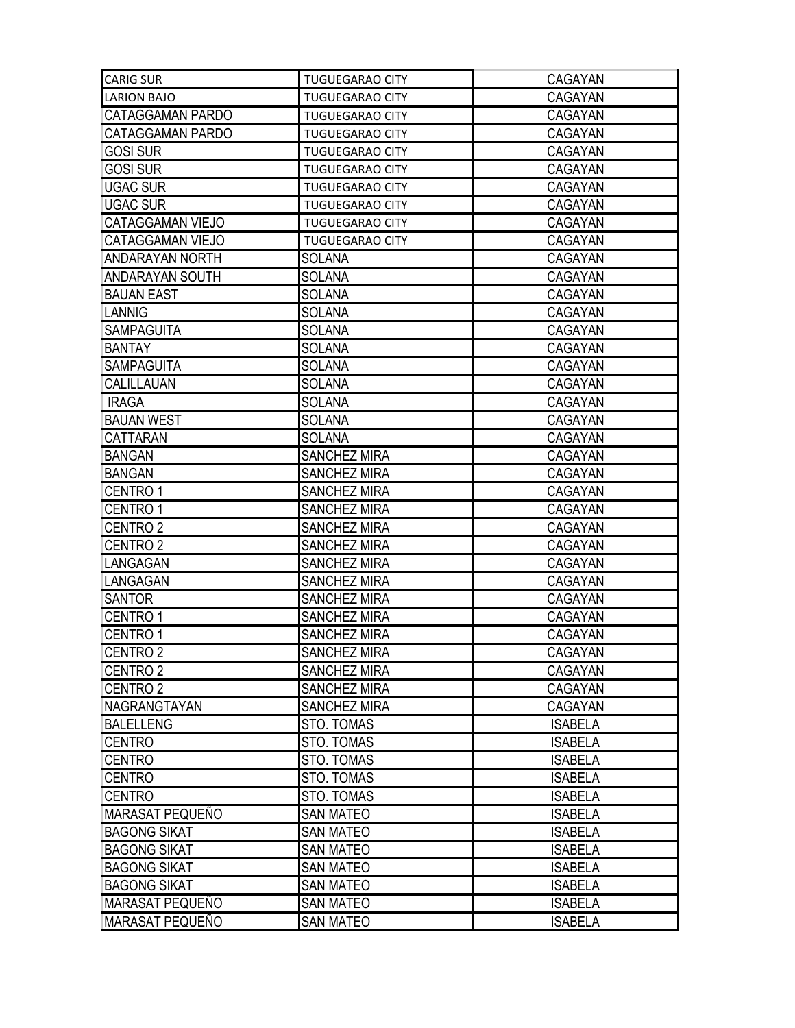| <b>CARIG SUR</b>        | <b>TUGUEGARAO CITY</b> | CAGAYAN        |
|-------------------------|------------------------|----------------|
| <b>LARION BAJO</b>      | <b>TUGUEGARAO CITY</b> | CAGAYAN        |
| <b>CATAGGAMAN PARDO</b> | <b>TUGUEGARAO CITY</b> | CAGAYAN        |
| CATAGGAMAN PARDO        | <b>TUGUEGARAO CITY</b> | CAGAYAN        |
| <b>GOSI SUR</b>         | <b>TUGUEGARAO CITY</b> | CAGAYAN        |
| <b>GOSI SUR</b>         | <b>TUGUEGARAO CITY</b> | CAGAYAN        |
| <b>UGAC SUR</b>         | <b>TUGUEGARAO CITY</b> | CAGAYAN        |
| UGAC SUR                | <b>TUGUEGARAO CITY</b> | CAGAYAN        |
| <b>CATAGGAMAN VIEJO</b> | <b>TUGUEGARAO CITY</b> | <b>CAGAYAN</b> |
| CATAGGAMAN VIEJO        | <b>TUGUEGARAO CITY</b> | CAGAYAN        |
| <b>ANDARAYAN NORTH</b>  | <b>SOLANA</b>          | CAGAYAN        |
| <b>ANDARAYAN SOUTH</b>  | <b>SOLANA</b>          | CAGAYAN        |
| <b>BAUAN EAST</b>       | <b>SOLANA</b>          | CAGAYAN        |
| LANNIG                  | <b>SOLANA</b>          | CAGAYAN        |
| <b>SAMPAGUITA</b>       | <b>SOLANA</b>          | CAGAYAN        |
| <b>BANTAY</b>           | <b>SOLANA</b>          | CAGAYAN        |
| SAMPAGUITA              | <b>SOLANA</b>          | CAGAYAN        |
| CALILLAUAN              | <b>SOLANA</b>          | CAGAYAN        |
| <b>IRAGA</b>            | <b>SOLANA</b>          | CAGAYAN        |
| <b>BAUAN WEST</b>       | <b>SOLANA</b>          | CAGAYAN        |
| CATTARAN                | <b>SOLANA</b>          | CAGAYAN        |
| <b>BANGAN</b>           | <b>SANCHEZ MIRA</b>    | CAGAYAN        |
| <b>BANGAN</b>           | <b>SANCHEZ MIRA</b>    | CAGAYAN        |
| <b>CENTRO 1</b>         | <b>SANCHEZ MIRA</b>    | CAGAYAN        |
| CENTRO 1                | <b>SANCHEZ MIRA</b>    | CAGAYAN        |
| CENTRO <sub>2</sub>     | <b>SANCHEZ MIRA</b>    | CAGAYAN        |
| CENTRO 2                | <b>SANCHEZ MIRA</b>    | CAGAYAN        |
| LANGAGAN                | <b>SANCHEZ MIRA</b>    | CAGAYAN        |
| LANGAGAN                | <b>SANCHEZ MIRA</b>    | <b>CAGAYAN</b> |
| <b>SANTOR</b>           | <b>SANCHEZ MIRA</b>    | <b>CAGAYAN</b> |
| <b>CENTRO1</b>          | <b>SANCHEZ MIRA</b>    | CAGAYAN        |
| CENTRO <sub>1</sub>     | <b>SANCHEZ MIRA</b>    | CAGAYAN        |
| CENTRO <sub>2</sub>     | <b>SANCHEZ MIRA</b>    | CAGAYAN        |
| CENTRO <sub>2</sub>     | <b>SANCHEZ MIRA</b>    | CAGAYAN        |
| CENTRO 2                | <b>SANCHEZ MIRA</b>    | CAGAYAN        |
| NAGRANGTAYAN            | <b>SANCHEZ MIRA</b>    | CAGAYAN        |
| <b>BALELLENG</b>        | STO. TOMAS             | <b>ISABELA</b> |
| <b>CENTRO</b>           | <b>STO. TOMAS</b>      | <b>ISABELA</b> |
| <b>CENTRO</b>           | STO. TOMAS             | <b>ISABELA</b> |
| <b>CENTRO</b>           | STO. TOMAS             | <b>ISABELA</b> |
| <b>CENTRO</b>           | <b>STO. TOMAS</b>      | <b>ISABELA</b> |
| <b>MARASAT PEQUEÑO</b>  | <b>SAN MATEO</b>       | <b>ISABELA</b> |
| <b>BAGONG SIKAT</b>     | <b>SAN MATEO</b>       | <b>ISABELA</b> |
| <b>BAGONG SIKAT</b>     | <b>SAN MATEO</b>       | <b>ISABELA</b> |
| <b>BAGONG SIKAT</b>     | <b>SAN MATEO</b>       | <b>ISABELA</b> |
| <b>BAGONG SIKAT</b>     | <b>SAN MATEO</b>       | <b>ISABELA</b> |
| MARASAT PEQUEÑO         | <b>SAN MATEO</b>       | <b>ISABELA</b> |
| MARASAT PEQUEÑO         | <b>SAN MATEO</b>       | <b>ISABELA</b> |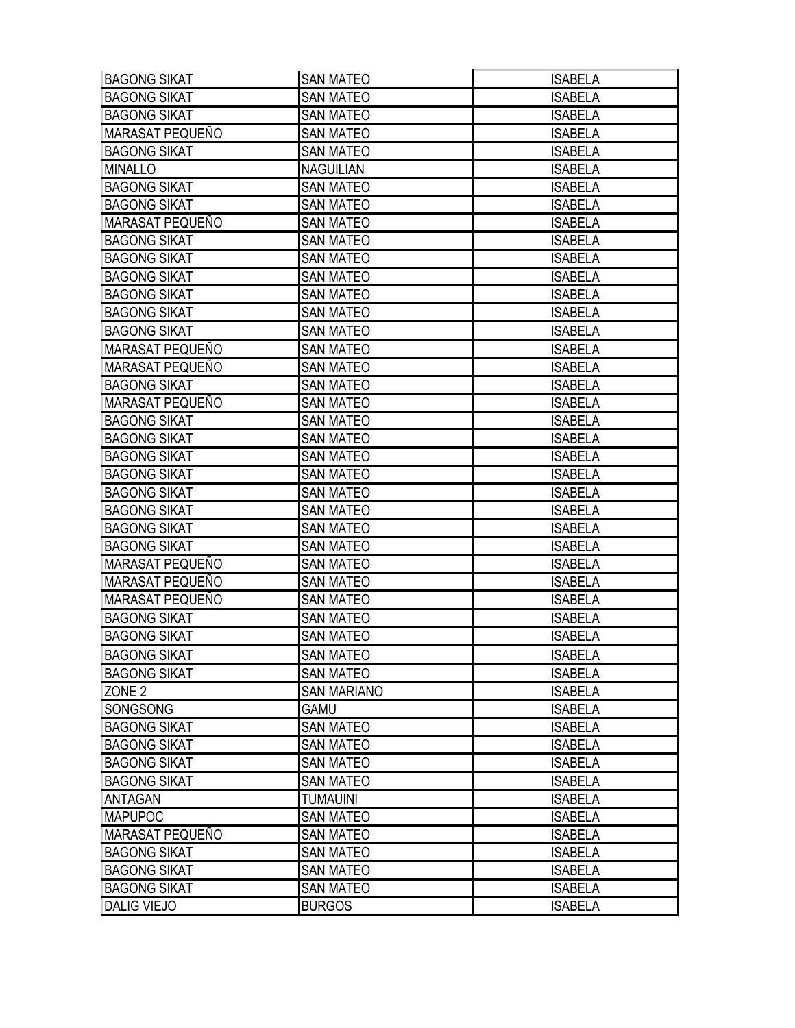| <b>BAGONG SIKAT</b>    | <b>SAN MATEO</b>   | <b>ISABELA</b> |
|------------------------|--------------------|----------------|
| <b>BAGONG SIKAT</b>    | <b>SAN MATEO</b>   | <b>ISABELA</b> |
| <b>BAGONG SIKAT</b>    | <b>SAN MATEO</b>   | <b>ISABELA</b> |
| MARASAT PEQUEÑO        | <b>SAN MATEO</b>   | <b>ISABELA</b> |
| <b>BAGONG SIKAT</b>    | <b>SAN MATEO</b>   | <b>ISABELA</b> |
| <b>MINALLO</b>         | <b>NAGUILIAN</b>   | <b>ISABELA</b> |
| <b>BAGONG SIKAT</b>    | <b>SAN MATEO</b>   | <b>ISABELA</b> |
| <b>BAGONG SIKAT</b>    | <b>SAN MATEO</b>   | <b>ISABELA</b> |
| <b>MARASAT PEQUEÑO</b> | <b>SAN MATEO</b>   | <b>ISABELA</b> |
| <b>BAGONG SIKAT</b>    | <b>SAN MATEO</b>   | <b>ISABELA</b> |
| <b>BAGONG SIKAT</b>    | <b>SAN MATEO</b>   | <b>ISABELA</b> |
| <b>BAGONG SIKAT</b>    | <b>SAN MATEO</b>   | <b>ISABELA</b> |
| <b>BAGONG SIKAT</b>    | <b>SAN MATEO</b>   | <b>ISABELA</b> |
| <b>BAGONG SIKAT</b>    | <b>SAN MATEO</b>   | <b>ISABELA</b> |
| <b>BAGONG SIKAT</b>    | <b>SAN MATEO</b>   | <b>ISABELA</b> |
| <b>MARASAT PEQUEÑO</b> | <b>SAN MATEO</b>   | <b>ISABELA</b> |
| <b>MARASAT PEQUEÑO</b> | <b>SAN MATEO</b>   | <b>ISABELA</b> |
| <b>BAGONG SIKAT</b>    | <b>SAN MATEO</b>   | <b>ISABELA</b> |
| MARASAT PEQUEÑO        | <b>SAN MATEO</b>   | <b>ISABELA</b> |
| <b>BAGONG SIKAT</b>    | <b>SAN MATEO</b>   | <b>ISABELA</b> |
| <b>BAGONG SIKAT</b>    | <b>SAN MATEO</b>   | <b>ISABELA</b> |
| <b>BAGONG SIKAT</b>    | <b>SAN MATEO</b>   | <b>ISABELA</b> |
| <b>BAGONG SIKAT</b>    | <b>SAN MATEO</b>   | <b>ISABELA</b> |
| <b>BAGONG SIKAT</b>    | <b>SAN MATEO</b>   | <b>ISABELA</b> |
| <b>BAGONG SIKAT</b>    | <b>SAN MATEO</b>   | <b>ISABELA</b> |
| <b>BAGONG SIKAT</b>    | <b>SAN MATEO</b>   | <b>ISABELA</b> |
| <b>BAGONG SIKAT</b>    | <b>SAN MATEO</b>   | <b>ISABELA</b> |
| MARASAT PEQUEÑO        | <b>SAN MATEO</b>   | <b>ISABELA</b> |
| <b>MARASAT PEQUEÑO</b> | <b>SAN MATEO</b>   | <b>ISABELA</b> |
| <b>MARASAT PEQUEÑO</b> | <b>SAN MATEO</b>   | <b>ISABELA</b> |
| <b>BAGONG SIKAT</b>    | <b>SAN MATEO</b>   | <b>ISABELA</b> |
| <b>BAGONG SIKAT</b>    | <b>SAN MATEO</b>   | <b>ISABELA</b> |
| <b>BAGONG SIKAT</b>    | <b>SAN MATEO</b>   | <b>ISABELA</b> |
| <b>BAGONG SIKAT</b>    | <b>SAN MATEO</b>   | <b>ISABELA</b> |
| ZONE 2                 | <b>SAN MARIANO</b> | <b>ISABELA</b> |
| SONGSONG               | <b>GAMU</b>        | <b>ISABELA</b> |
| <b>BAGONG SIKAT</b>    | <b>SAN MATEO</b>   | <b>ISABELA</b> |
| <b>BAGONG SIKAT</b>    | <b>SAN MATEO</b>   | <b>ISABELA</b> |
| <b>BAGONG SIKAT</b>    | SAN MATEO          | <b>ISABELA</b> |
| <b>BAGONG SIKAT</b>    | <b>SAN MATEO</b>   | <b>ISABELA</b> |
| <b>ANTAGAN</b>         | <b>TUMAUINI</b>    | <b>ISABELA</b> |
| <b>MAPUPOC</b>         | <b>SAN MATEO</b>   | <b>ISABELA</b> |
| MARASAT PEQUEÑO        | <b>SAN MATEO</b>   | <b>ISABELA</b> |
| <b>BAGONG SIKAT</b>    | <b>SAN MATEO</b>   | <b>ISABELA</b> |
| <b>BAGONG SIKAT</b>    | <b>SAN MATEO</b>   | <b>ISABELA</b> |
| <b>BAGONG SIKAT</b>    | <b>SAN MATEO</b>   | <b>ISABELA</b> |
| <b>DALIG VIEJO</b>     | <b>BURGOS</b>      | <b>ISABELA</b> |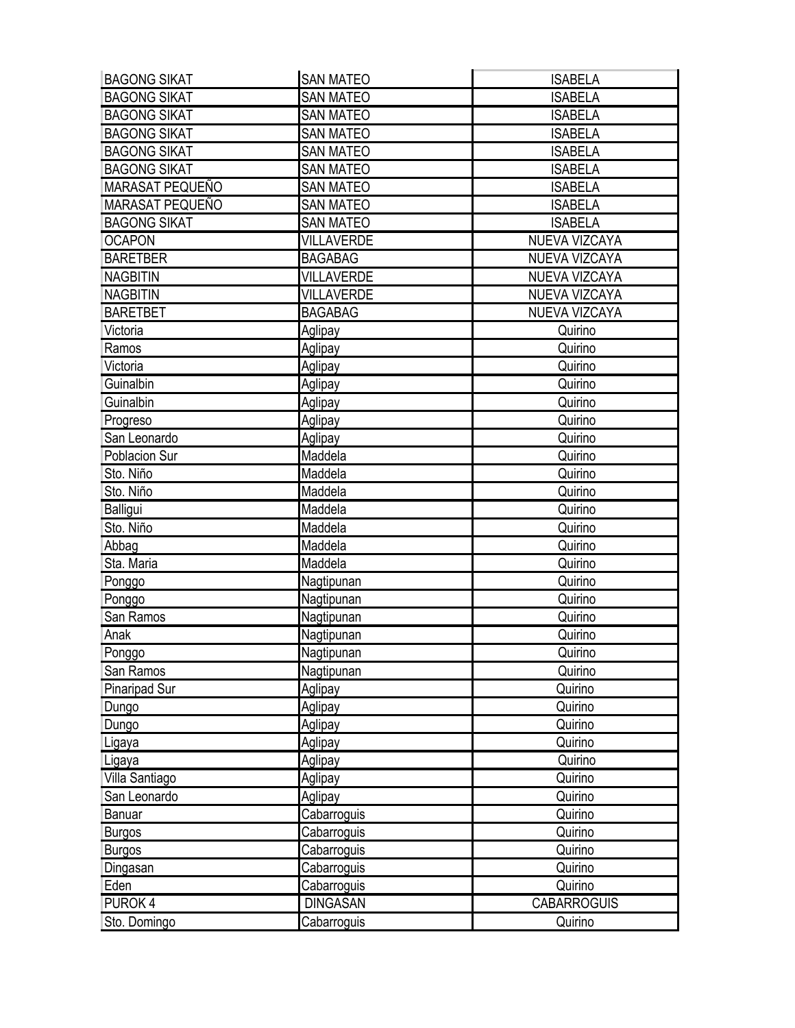| <b>BAGONG SIKAT</b>  | <b>SAN MATEO</b>  | <b>ISABELA</b>       |
|----------------------|-------------------|----------------------|
| <b>BAGONG SIKAT</b>  | <b>SAN MATEO</b>  | <b>ISABELA</b>       |
| <b>BAGONG SIKAT</b>  | <b>SAN MATEO</b>  | <b>ISABELA</b>       |
| <b>BAGONG SIKAT</b>  | <b>SAN MATEO</b>  | <b>ISABELA</b>       |
| <b>BAGONG SIKAT</b>  | <b>SAN MATEO</b>  | <b>ISABELA</b>       |
| <b>BAGONG SIKAT</b>  | <b>SAN MATEO</b>  | <b>ISABELA</b>       |
| MARASAT PEQUEÑO      | <b>SAN MATEO</b>  | <b>ISABELA</b>       |
| MARASAT PEQUEÑO      | <b>SAN MATEO</b>  | <b>ISABELA</b>       |
| <b>BAGONG SIKAT</b>  | <b>SAN MATEO</b>  | <b>ISABELA</b>       |
| <b>OCAPON</b>        | <b>VILLAVERDE</b> | <b>NUEVA VIZCAYA</b> |
| <b>BARETBER</b>      | <b>BAGABAG</b>    | NUEVA VIZCAYA        |
| <b>NAGBITIN</b>      | <b>VILLAVERDE</b> | NUEVA VIZCAYA        |
| <b>NAGBITIN</b>      | <b>VILLAVERDE</b> | NUEVA VIZCAYA        |
| <b>BARETBET</b>      | <b>BAGABAG</b>    | NUEVA VIZCAYA        |
| Victoria             | Aglipay           | Quirino              |
| Ramos                | Aglipay           | Quirino              |
| Victoria             | Aglipay           | Quirino              |
| Guinalbin            | Aglipay           | Quirino              |
| Guinalbin            | Aglipay           | Quirino              |
| Progreso             | Aglipay           | Quirino              |
| San Leonardo         | Aglipay           | Quirino              |
| <b>Poblacion Sur</b> | Maddela           | Quirino              |
| Sto. Niño            | Maddela           | Quirino              |
| Sto. Niño            | Maddela           | Quirino              |
| Balligui             | Maddela           | Quirino              |
| Sto. Niño            | Maddela           | Quirino              |
| Abbag                | Maddela           | Quirino              |
| Sta. Maria           | Maddela           | Quirino              |
| Ponggo               | Nagtipunan        | Quirino              |
| Ponggo               | Nagtipunan        | Quirino              |
| San Ramos            | Nagtipunan        | Quirino              |
| Anak                 | Nagtipunan        | Quirino              |
| Ponggo               | Nagtipunan        | Quirino              |
| San Ramos            | Nagtipunan        | Quirino              |
| <b>Pinaripad Sur</b> | Aglipay           | Quirino              |
| Dungo                | Aglipay           | Quirino              |
| Dungo                | Aglipay           | Quirino              |
| Ligaya               | Aglipay           | Quirino              |
| Ligaya               | Aglipay           | Quirino              |
| Villa Santiago       | <b>Aglipay</b>    | Quirino              |
| San Leonardo         | Aglipay           | Quirino              |
| Banuar               | Cabarroguis       | Quirino              |
| <b>Burgos</b>        | Cabarroguis       | Quirino              |
| <b>Burgos</b>        | Cabarroguis       | Quirino              |
| Dingasan             | Cabarroguis       | Quirino              |
| Eden                 | Cabarroguis       | Quirino              |
| PUROK <sub>4</sub>   | <b>DINGASAN</b>   | <b>CABARROGUIS</b>   |
| Sto. Domingo         | Cabarroguis       | Quirino              |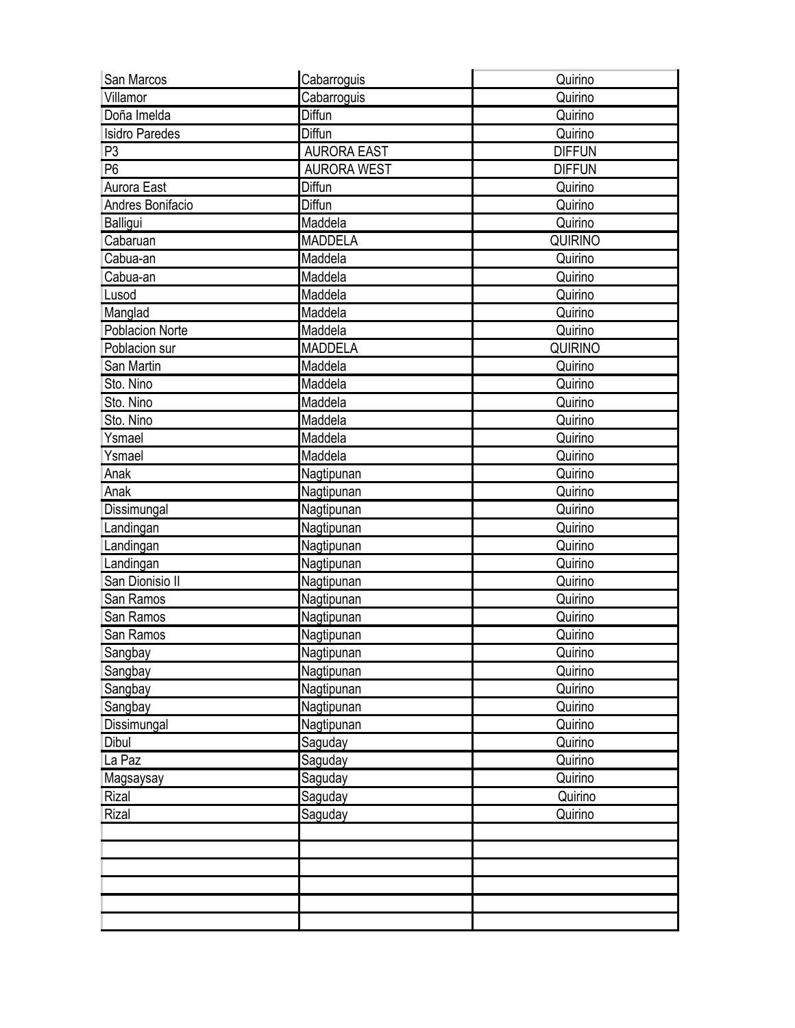| San Marcos             | Cabarroguis        | Quirino        |
|------------------------|--------------------|----------------|
| Villamor               | Cabarroguis        | Quirino        |
| Doña Imelda            | Diffun             | Quirino        |
| <b>Isidro Paredes</b>  | Diffun             | Quirino        |
| P <sub>3</sub>         | <b>AURORA EAST</b> | <b>DIFFUN</b>  |
| P <sub>6</sub>         | <b>AURORA WEST</b> | <b>DIFFUN</b>  |
| Aurora East            | Diffun             | Quirino        |
| Andres Bonifacio       | Diffun             | Quirino        |
| Balligui               | Maddela            | Quirino        |
| Cabaruan               | <b>MADDELA</b>     | <b>QUIRINO</b> |
| Cabua-an               | Maddela            | Quirino        |
| Cabua-an               | Maddela            | Quirino        |
| Lusod                  | Maddela            | Quirino        |
| Manglad                | Maddela            | Quirino        |
| <b>Poblacion Norte</b> | Maddela            | Quirino        |
| Poblacion sur          | <b>MADDELA</b>     | <b>QUIRINO</b> |
| San Martin             | Maddela            | Quirino        |
| Sto. Nino              | Maddela            | Quirino        |
| Sto. Nino              | Maddela            | Quirino        |
| Sto. Nino              | Maddela            | Quirino        |
| Ysmael                 | Maddela            | Quirino        |
| Ysmael                 | Maddela            | Quirino        |
| Anak                   | Nagtipunan         | Quirino        |
| Anak                   | Nagtipunan         | Quirino        |
| Dissimungal            | Nagtipunan         | Quirino        |
| Landingan              | Nagtipunan         | Quirino        |
| Landingan              | Nagtipunan         | Quirino        |
| Landingan              | Nagtipunan         | Quirino        |
| San Dionisio II        | Nagtipunan         | Quirino        |
| San Ramos              | Nagtipunan         | Quirino        |
| San Ramos              | Nagtipunan         | Quirino        |
| San Ramos              | Nagtipunan         | Quirino        |
| Sangbay                | Nagtipunan         | Quirino        |
| Sangbay                | Nagtipunan         | Quirino        |
| Sangbay                | Nagtipunan         | Quirino        |
| Sangbay                | Nagtipunan         | Quirino        |
| Dissimungal            | Nagtipunan         | Quirino        |
| Dibul                  | Saguday            | Quirino        |
| La Paz                 | Saguday            | Quirino        |
| Magsaysay              | Saguday            | Quirino        |
| Rizal                  | Saguday            | Quirino        |
| Rizal                  | Saguday            | Quirino        |
|                        |                    |                |
|                        |                    |                |
|                        |                    |                |
|                        |                    |                |
|                        |                    |                |
|                        |                    |                |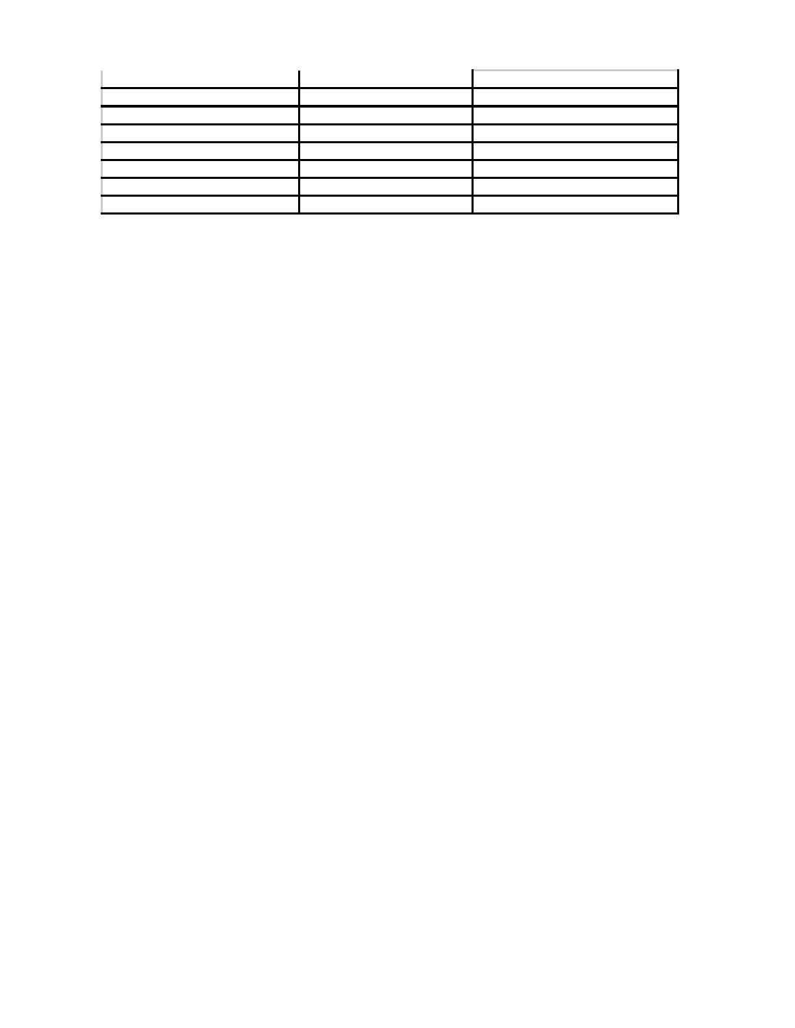| ______                                                                                                          | <b>Service Controller</b> |
|-----------------------------------------------------------------------------------------------------------------|---------------------------|
| the contract of the contract of the contract of the contract of the contract of the contract of the contract of |                           |
|                                                                                                                 |                           |
|                                                                                                                 |                           |
|                                                                                                                 |                           |
|                                                                                                                 |                           |
|                                                                                                                 |                           |
|                                                                                                                 |                           |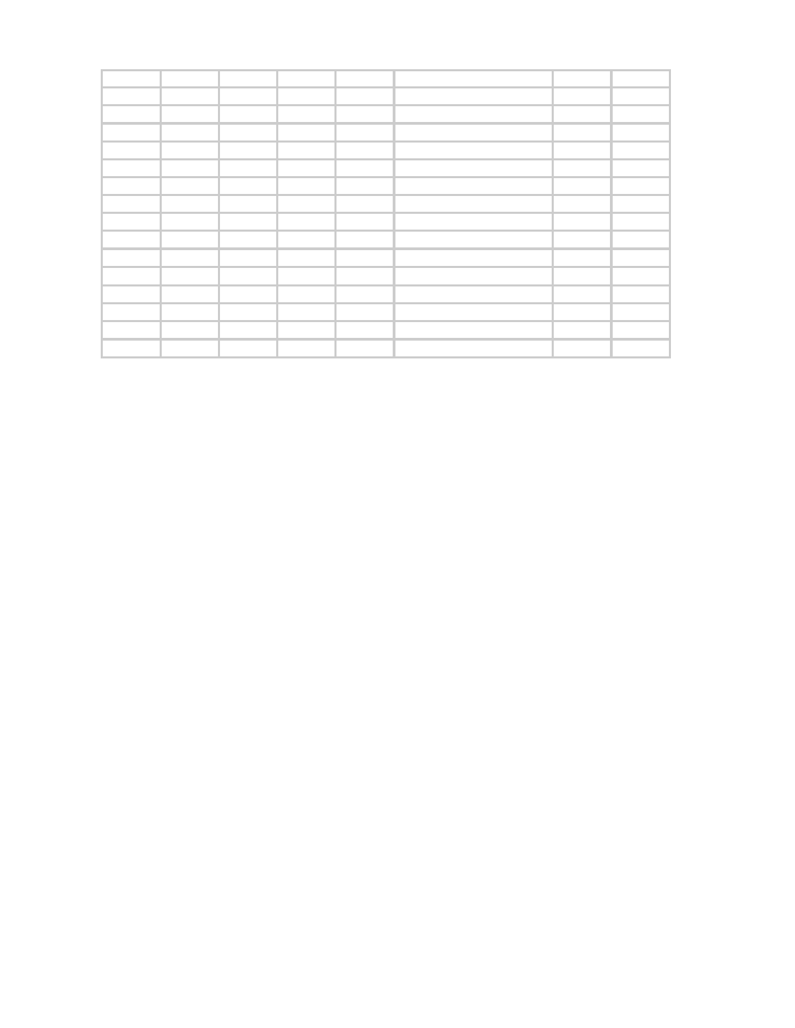|  | the control of the control of the control of |  |  |  |
|--|----------------------------------------------|--|--|--|
|  |                                              |  |  |  |
|  |                                              |  |  |  |
|  |                                              |  |  |  |
|  |                                              |  |  |  |
|  |                                              |  |  |  |